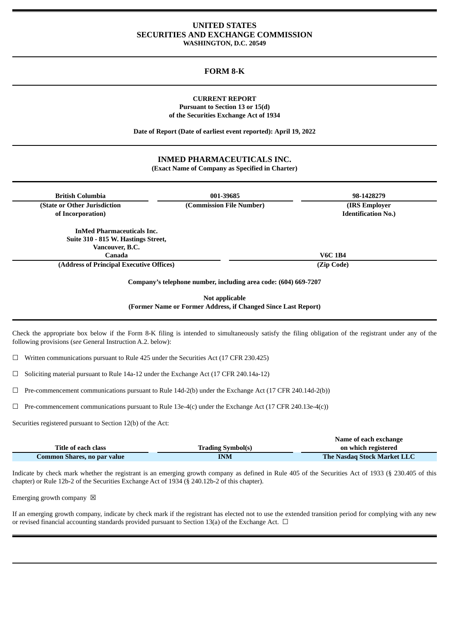## **UNITED STATES SECURITIES AND EXCHANGE COMMISSION WASHINGTON, D.C. 20549**

# **FORM 8-K**

### **CURRENT REPORT Pursuant to Section 13 or 15(d) of the Securities Exchange Act of 1934**

**Date of Report (Date of earliest event reported): April 19, 2022**

# **INMED PHARMACEUTICALS INC. (Exact Name of Company as Specified in Charter)**

| <b>British Columbia</b>                                                                                                                                                                                             | 001-39685                                                                       | 98-1428279                                   |
|---------------------------------------------------------------------------------------------------------------------------------------------------------------------------------------------------------------------|---------------------------------------------------------------------------------|----------------------------------------------|
| (State or Other Jurisdiction<br>of Incorporation)                                                                                                                                                                   | (Commission File Number)                                                        | (IRS Employer)<br><b>Identification No.)</b> |
| <b>InMed Pharmaceuticals Inc.</b><br>Suite 310 - 815 W. Hastings Street,<br>Vancouver, B.C.<br>Canada                                                                                                               |                                                                                 | <b>V6C 1B4</b>                               |
| (Address of Principal Executive Offices)                                                                                                                                                                            |                                                                                 | (Zip Code)                                   |
|                                                                                                                                                                                                                     | Company's telephone number, including area code: (604) 669-7207                 |                                              |
|                                                                                                                                                                                                                     | Not applicable<br>(Former Name or Former Address, if Changed Since Last Report) |                                              |
| Check the appropriate box below if the Form 8-K filing is intended to simultaneously satisfy the filing obligation of the registrant under any of the<br>following provisions (see General Instruction A.2, below): |                                                                                 |                                              |

 $\Box$  Written communications pursuant to Rule 425 under the Securities Act (17 CFR 230.425)

☐ Soliciting material pursuant to Rule 14a-12 under the Exchange Act (17 CFR 240.14a-12)

☐ Pre-commencement communications pursuant to Rule 14d-2(b) under the Exchange Act (17 CFR 240.14d-2(b))

 $\Box$  Pre-commencement communications pursuant to Rule 13e-4(c) under the Exchange Act (17 CFR 240.13e-4(c))

Securities registered pursuant to Section 12(b) of the Act:

|                             |                          | Name of each exchange              |
|-----------------------------|--------------------------|------------------------------------|
| Title of each class         | <b>Trading Symbol(s)</b> | on which registered                |
| Common Shares, no par value | <b>INM</b>               | <b>The Nasdaq Stock Market LLC</b> |

Indicate by check mark whether the registrant is an emerging growth company as defined in Rule 405 of the Securities Act of 1933 (§ 230.405 of this chapter) or Rule 12b-2 of the Securities Exchange Act of 1934 (§ 240.12b-2 of this chapter).

Emerging growth company  $\boxtimes$ 

If an emerging growth company, indicate by check mark if the registrant has elected not to use the extended transition period for complying with any new or revised financial accounting standards provided pursuant to Section 13(a) of the Exchange Act.  $\Box$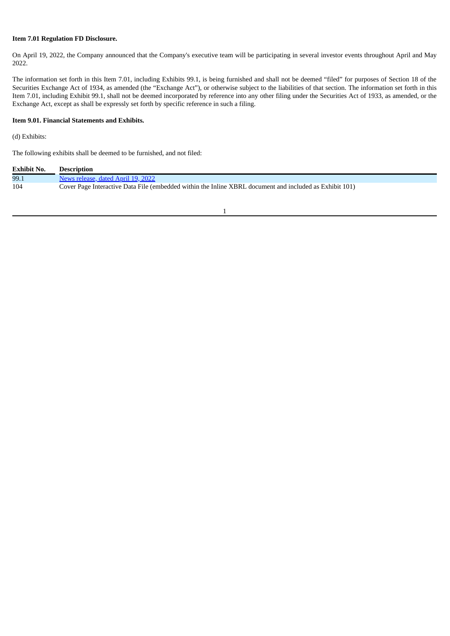# **Item 7.01 Regulation FD Disclosure.**

On April 19, 2022, the Company announced that the Company's executive team will be participating in several investor events throughout April and May 2022.

The information set forth in this Item 7.01, including Exhibits 99.1, is being furnished and shall not be deemed "filed" for purposes of Section 18 of the Securities Exchange Act of 1934, as amended (the "Exchange Act"), or otherwise subject to the liabilities of that section. The information set forth in this Item 7.01, including Exhibit 99.1, shall not be deemed incorporated by reference into any other filing under the Securities Act of 1933, as amended, or the Exchange Act, except as shall be expressly set forth by specific reference in such a filing.

### **Item 9.01. Financial Statements and Exhibits.**

# (d) Exhibits:

The following exhibits shall be deemed to be furnished, and not filed:

| <b>Exhibit No.</b> | <b>Description</b>                                                                                      |
|--------------------|---------------------------------------------------------------------------------------------------------|
| 99.1               | News release, dated April 19, 2022                                                                      |
| 104                | Cover Page Interactive Data File (embedded within the Inline XBRL document and included as Exhibit 101) |

1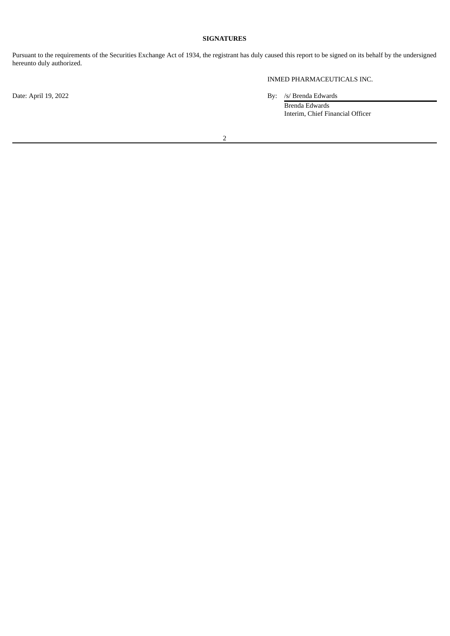# **SIGNATURES**

Pursuant to the requirements of the Securities Exchange Act of 1934, the registrant has duly caused this report to be signed on its behalf by the undersigned hereunto duly authorized.

INMED PHARMACEUTICALS INC.

Date: April 19, 2022 By: /s/ Brenda Edwards

Brenda Edwards Interim, Chief Financial Officer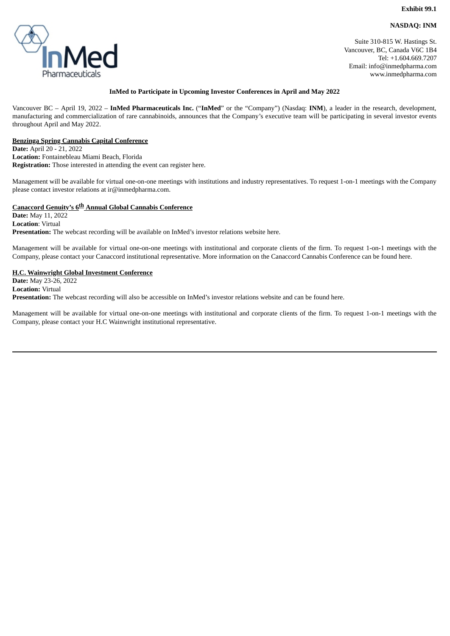# **NASDAQ: INM**

<span id="page-3-0"></span>

Suite 310-815 W. Hastings St. Vancouver, BC, Canada V6C 1B4 Tel: +1.604.669.7207 Email: info@inmedpharma.com www.inmedpharma.com

### **InMed to Participate in Upcoming Investor Conferences in April and May 2022**

Vancouver BC – April 19, 2022 – **InMed Pharmaceuticals Inc.** ("**InMed**" or the "Company") (Nasdaq: **INM**), a leader in the research, development, manufacturing and commercialization of rare cannabinoids, announces that the Company's executive team will be participating in several investor events throughout April and May 2022.

## **Benzinga Spring Cannabis Capital Conference**

**Date:** April 20 - 21, 2022 **Location:** Fontainebleau Miami Beach, Florida **Registration:** Those interested in attending the event can register here.

Management will be available for virtual one-on-one meetings with institutions and industry representatives. To request 1-on-1 meetings with the Company please contact investor relations at ir@inmedpharma.com.

## **Canaccord Genuity's 6 th Annual Global Cannabis Conference**

**Date:** May 11, 2022 **Location**: Virtual **Presentation:** The webcast recording will be available on InMed's investor relations website here.

Management will be available for virtual one-on-one meetings with institutional and corporate clients of the firm. To request 1-on-1 meetings with the Company, please contact your Canaccord institutional representative. More information on the Canaccord Cannabis Conference can be found here.

#### **H.C. Wainwright Global Investment Conference**

**Date:** May 23-26, 2022 **Location:** Virtual **Presentation:** The webcast recording will also be accessible on InMed's investor relations website and can be found here.

Management will be available for virtual one-on-one meetings with institutional and corporate clients of the firm. To request 1-on-1 meetings with the Company, please contact your H.C Wainwright institutional representative.